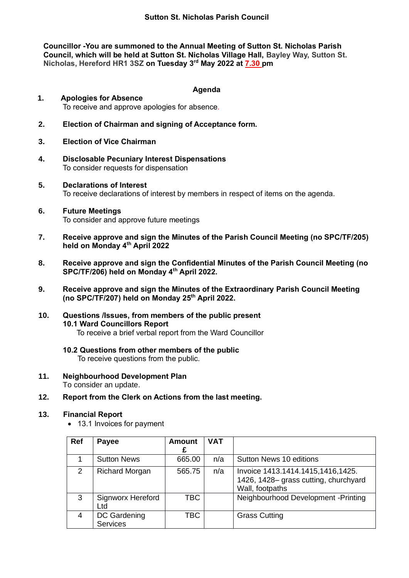**Councillor -You are summoned to the Annual Meeting of Sutton St. Nicholas Parish Council, which will be held at Sutton St. Nicholas Village Hall, Bayley Way, Sutton St. Nicholas, Hereford HR1 3SZ on Tuesday 3 rd May 2022 at 7.30 pm** 

### **Agenda**

- **1. Apologies for Absence** To receive and approve apologies for absence.
- **2. Election of Chairman and signing of Acceptance form.**
- **3. Election of Vice Chairman**
- **4. Disclosable Pecuniary Interest Dispensations** To consider requests for dispensation
- **5. Declarations of Interest** To receive declarations of interest by members in respect of items on the agenda.
- **6. Future Meetings**  To consider and approve future meetings
- **7. Receive approve and sign the Minutes of the Parish Council Meeting (no SPC/TF/205) held on Monday 4th April 2022**
- **8. Receive approve and sign the Confidential Minutes of the Parish Council Meeting (no SPC/TF/206) held on Monday 4th April 2022.**
- **9. Receive approve and sign the Minutes of the Extraordinary Parish Council Meeting (no SPC/TF/207) held on Monday 25th April 2022.**
- **10. Questions /Issues, from members of the public present 10.1 Ward Councillors Report** To receive a brief verbal report from the Ward Councillor
	- **10.2 Questions from other members of the public** To receive questions from the public.
- **11. Neighbourhood Development Plan** To consider an update.
- **12. Report from the Clerk on Actions from the last meeting.**

### **13. Financial Report**

• 13.1 Invoices for payment

| <b>Ref</b> | <b>Payee</b>                    | <b>Amount</b><br>£ | <b>VAT</b> |                                                                                               |
|------------|---------------------------------|--------------------|------------|-----------------------------------------------------------------------------------------------|
| 1          | <b>Sutton News</b>              | 665.00             | n/a        | Sutton News 10 editions                                                                       |
| 2          | <b>Richard Morgan</b>           | 565.75             | n/a        | Invoice 1413.1414.1415,1416,1425.<br>1426, 1428– grass cutting, churchyard<br>Wall, footpaths |
| 3          | <b>Signworx Hereford</b><br>Ltd | <b>TBC</b>         |            | Neighbourhood Development - Printing                                                          |
| 4          | DC Gardening<br><b>Services</b> | TBC                |            | <b>Grass Cutting</b>                                                                          |